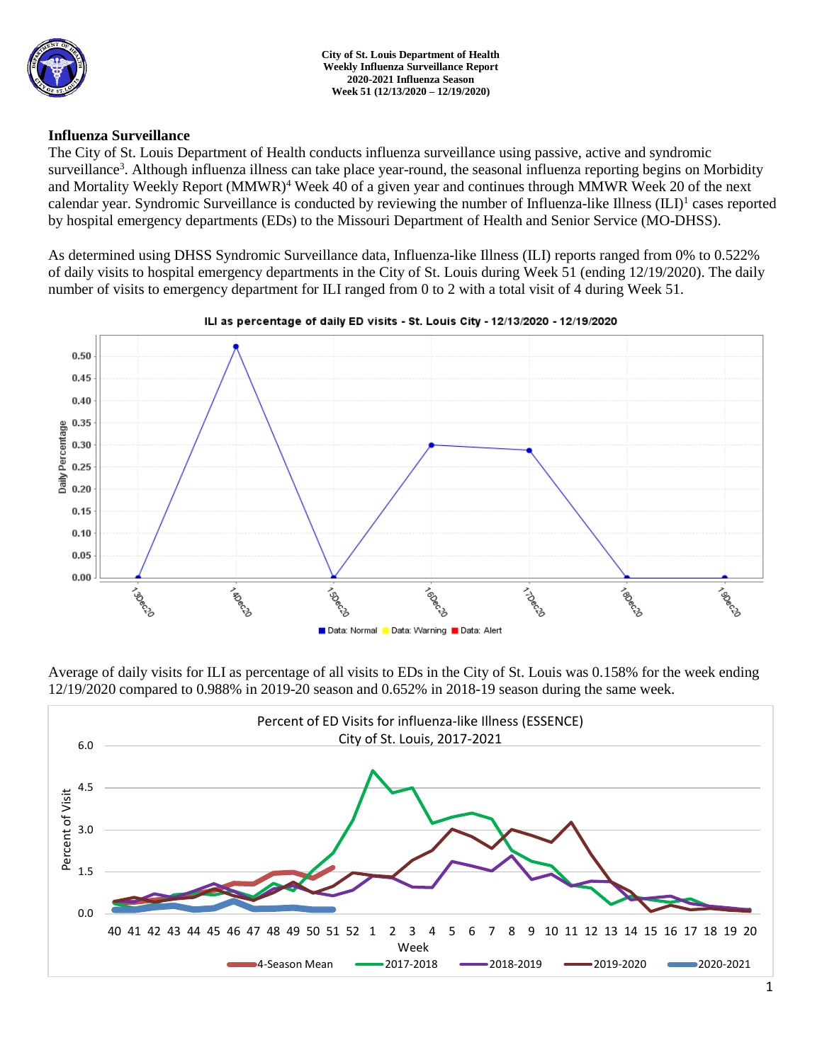

### **Influenza Surveillance**

The City of St. Louis Department of Health conducts influenza surveillance using passive, active and syndromic surveillance<sup>3</sup>. Although influenza illness can take place year-round, the seasonal influenza reporting begins on Morbidity and Mortality Weekly Report (MMWR)<sup>4</sup> Week 40 of a given year and continues through MMWR Week 20 of the next calendar year. Syndromic Surveillance is conducted by reviewing the number of Influenza-like Illness (ILI)<sup>1</sup> cases reported by hospital emergency departments (EDs) to the Missouri Department of Health and Senior Service (MO-DHSS).

As determined using DHSS Syndromic Surveillance data, Influenza-like Illness (ILI) reports ranged from 0% to 0.522% of daily visits to hospital emergency departments in the City of St. Louis during Week 51 (ending 12/19/2020). The daily number of visits to emergency department for ILI ranged from 0 to 2 with a total visit of 4 during Week 51.



### ILI as percentage of daily ED visits - St. Louis City - 12/13/2020 - 12/19/2020

Average of daily visits for ILI as percentage of all visits to EDs in the City of St. Louis was 0.158% for the week ending 12/19/2020 compared to 0.988% in 2019-20 season and 0.652% in 2018-19 season during the same week.

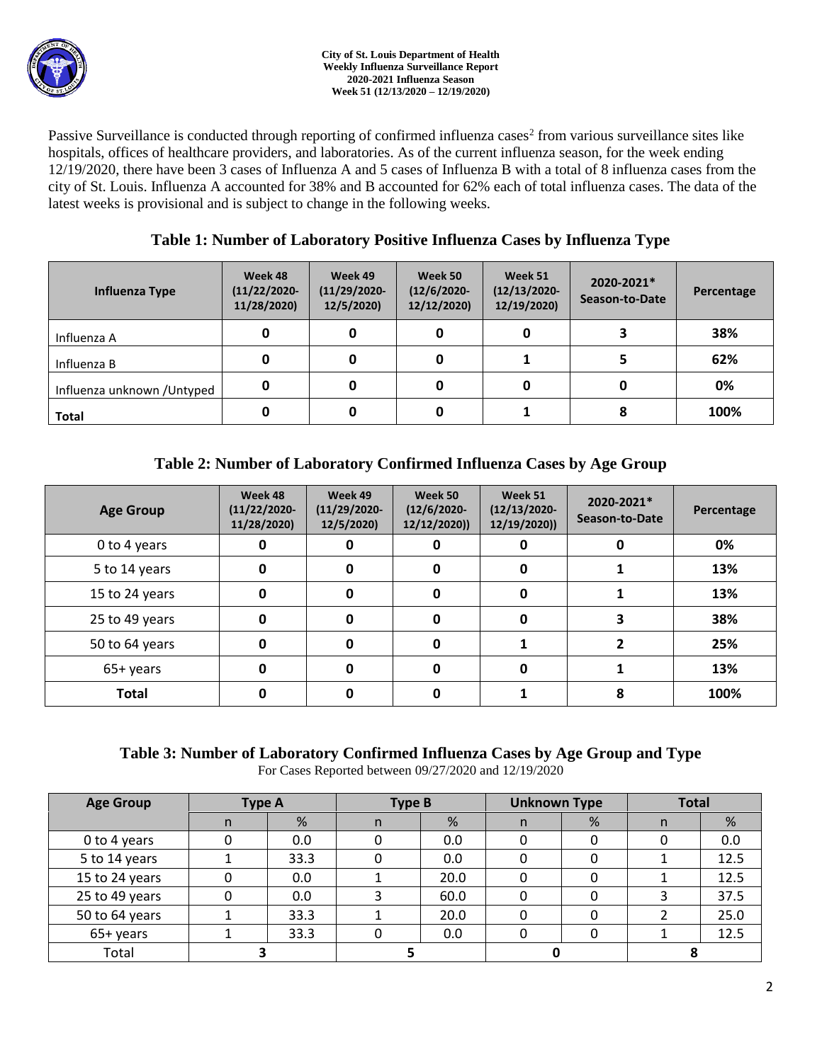Passive Surveillance is conducted through reporting of confirmed influenza cases<sup>2</sup> from various surveillance sites like hospitals, offices of healthcare providers, and laboratories. As of the current influenza season, for the week ending 12/19/2020, there have been 3 cases of Influenza A and 5 cases of Influenza B with a total of 8 influenza cases from the city of St. Louis. Influenza A accounted for 38% and B accounted for 62% each of total influenza cases. The data of the latest weeks is provisional and is subject to change in the following weeks.

# **Table 1: Number of Laboratory Positive Influenza Cases by Influenza Type**

| Influenza Type              | Week 48<br>$(11/22/2020 -$<br>11/28/2020) | Week 49<br>$(11/29/2020 -$<br>12/5/2020) | Week 50<br>$(12/6/2020 -$<br>12/12/2020) | Week 51<br>$(12/13/2020 -$<br>12/19/2020) | 2020-2021*<br>Season-to-Date | Percentage |
|-----------------------------|-------------------------------------------|------------------------------------------|------------------------------------------|-------------------------------------------|------------------------------|------------|
| Influenza A                 | 0                                         |                                          | 0                                        |                                           |                              | 38%        |
| Influenza B                 | 0                                         |                                          | 0                                        |                                           |                              | 62%        |
| Influenza unknown / Untyped | 0                                         |                                          | 0                                        |                                           |                              | 0%         |
| <b>Total</b>                | 0                                         |                                          | 0                                        |                                           |                              | 100%       |

# **Table 2: Number of Laboratory Confirmed Influenza Cases by Age Group**

| <b>Age Group</b> | Week 48<br>$(11/22/2020 -$<br>11/28/2020) | Week 49<br>$(11/29/2020 -$<br>12/5/2020) | Week 50<br>$(12/6/2020 -$<br>12/12/2020) | Week 51<br>$(12/13/2020 -$<br>12/19/2020)) | 2020-2021*<br>Season-to-Date | Percentage |
|------------------|-------------------------------------------|------------------------------------------|------------------------------------------|--------------------------------------------|------------------------------|------------|
| 0 to 4 years     | 0                                         |                                          | 0                                        | 0                                          |                              | 0%         |
| 5 to 14 years    | 0                                         | O                                        | 0                                        | $\Omega$                                   |                              | 13%        |
| 15 to 24 years   | 0                                         | O                                        | 0                                        | $\Omega$                                   |                              | 13%        |
| 25 to 49 years   | 0                                         | 0                                        | 0                                        | $\Omega$                                   |                              | 38%        |
| 50 to 64 years   | 0                                         | Ω                                        | 0                                        |                                            |                              | 25%        |
| 65+ years        | 0                                         | Ω                                        | 0                                        | O                                          |                              | 13%        |
| <b>Total</b>     |                                           |                                          | 0                                        |                                            | 8                            | 100%       |

# **Table 3: Number of Laboratory Confirmed Influenza Cases by Age Group and Type**

For Cases Reported between 09/27/2020 and 12/19/2020

| <b>Age Group</b> | <b>Type A</b> |      | <b>Type B</b> |      | <b>Unknown Type</b> |   | <b>Total</b> |      |
|------------------|---------------|------|---------------|------|---------------------|---|--------------|------|
|                  | n             | %    | n             | %    |                     | % | n            | %    |
| 0 to 4 years     |               | 0.0  |               | 0.0  |                     |   |              | 0.0  |
| 5 to 14 years    |               | 33.3 |               | 0.0  |                     |   |              | 12.5 |
| 15 to 24 years   |               | 0.0  |               | 20.0 |                     |   |              | 12.5 |
| 25 to 49 years   |               | 0.0  |               | 60.0 |                     |   |              | 37.5 |
| 50 to 64 years   |               | 33.3 |               | 20.0 |                     |   |              | 25.0 |
| 65+ years        |               | 33.3 |               | 0.0  |                     |   |              | 12.5 |
| Total            |               |      |               |      |                     |   |              |      |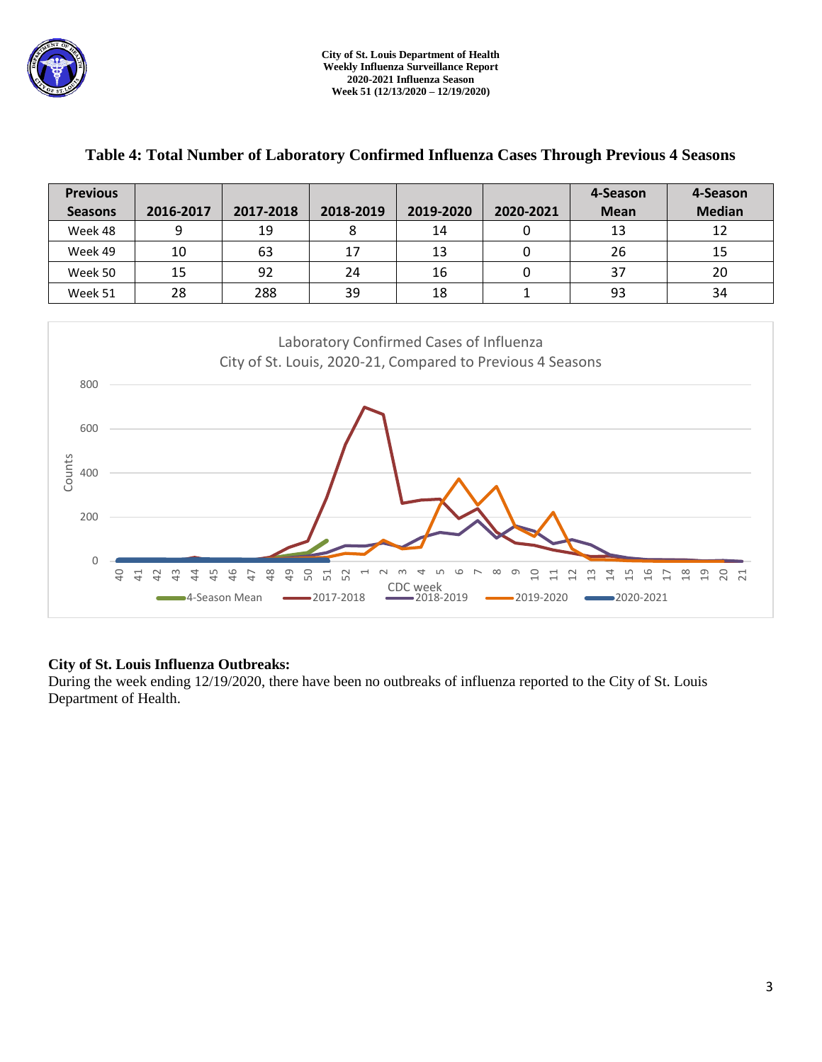

| <b>Previous</b>                                                                                              |                 |                                                         |                                              |                            |                             | 4-Season                                    | 4-Season                |  |  |
|--------------------------------------------------------------------------------------------------------------|-----------------|---------------------------------------------------------|----------------------------------------------|----------------------------|-----------------------------|---------------------------------------------|-------------------------|--|--|
| <b>Seasons</b>                                                                                               | 2016-2017       | 2017-2018                                               | 2018-2019                                    | 2019-2020                  | 2020-2021                   | <b>Mean</b>                                 | <b>Median</b>           |  |  |
| Week 48                                                                                                      | 9               | 19                                                      | 8                                            | 14                         | 0                           | 13                                          | 12                      |  |  |
| Week 49                                                                                                      | 10              | 63                                                      | 17                                           | 13                         | $\mathbf 0$                 | 26                                          | 15                      |  |  |
| Week 50                                                                                                      | 15              | 92                                                      | 24                                           | 16                         | $\pmb{0}$                   | 37                                          | 20                      |  |  |
| Week 51                                                                                                      | 28              | 288                                                     | 39                                           | 18                         | $\mathbf 1$                 | 93                                          | 34                      |  |  |
| Laboratory Confirmed Cases of Influenza<br>City of St. Louis, 2020-21, Compared to Previous 4 Seasons<br>800 |                 |                                                         |                                              |                            |                             |                                             |                         |  |  |
| 600                                                                                                          |                 |                                                         |                                              |                            |                             |                                             |                         |  |  |
| Counts<br>400                                                                                                |                 |                                                         |                                              |                            |                             |                                             |                         |  |  |
| 200                                                                                                          |                 |                                                         |                                              |                            |                             |                                             |                         |  |  |
| $\Omega$<br>$\overline{a}$                                                                                   | $\Xi$<br>₽<br>뜫 | 48<br>49<br>50<br>9<br>$\overline{4}$<br>-4-Season Mean | 51<br>52<br>$\overline{ }$<br>$-2017 - 2018$ | CDC week<br>$-2018 - 2019$ | ᡡ<br>음<br>금<br>$-2019-2020$ | $\frac{6}{1}$<br>$\Xi$<br>띸<br>$-2020-2021$ | ≌<br>19<br>S<br>₽<br>12 |  |  |

### **Table 4: Total Number of Laboratory Confirmed Influenza Cases Through Previous 4 Seasons**

### **City of St. Louis Influenza Outbreaks:**

During the week ending 12/19/2020, there have been no outbreaks of influenza reported to the City of St. Louis Department of Health.